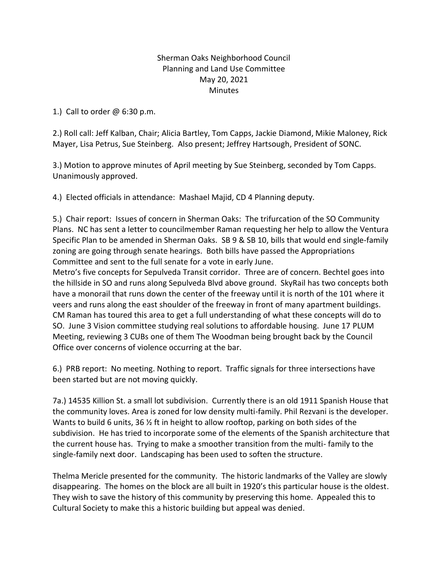## Sherman Oaks Neighborhood Council Planning and Land Use Committee May 20, 2021 **Minutes**

1.) Call to order @ 6:30 p.m.

2.) Roll call: Jeff Kalban, Chair; Alicia Bartley, Tom Capps, Jackie Diamond, Mikie Maloney, Rick Mayer, Lisa Petrus, Sue Steinberg. Also present; Jeffrey Hartsough, President of SONC.

3.) Motion to approve minutes of April meeting by Sue Steinberg, seconded by Tom Capps. Unanimously approved.

4.) Elected officials in attendance: Mashael Majid, CD 4 Planning deputy.

5.) Chair report: Issues of concern in Sherman Oaks: The trifurcation of the SO Community Plans. NC has sent a letter to councilmember Raman requesting her help to allow the Ventura Specific Plan to be amended in Sherman Oaks. SB 9 & SB 10, bills that would end single-family zoning are going through senate hearings. Both bills have passed the Appropriations Committee and sent to the full senate for a vote in early June.

Metro's five concepts for Sepulveda Transit corridor. Three are of concern. Bechtel goes into the hillside in SO and runs along Sepulveda Blvd above ground. SkyRail has two concepts both have a monorail that runs down the center of the freeway until it is north of the 101 where it veers and runs along the east shoulder of the freeway in front of many apartment buildings. CM Raman has toured this area to get a full understanding of what these concepts will do to SO. June 3 Vision committee studying real solutions to affordable housing. June 17 PLUM Meeting, reviewing 3 CUBs one of them The Woodman being brought back by the Council Office over concerns of violence occurring at the bar.

6.) PRB report: No meeting. Nothing to report. Traffic signals for three intersections have been started but are not moving quickly.

7a.) 14535 Killion St. a small lot subdivision. Currently there is an old 1911 Spanish House that the community loves. Area is zoned for low density multi-family. Phil Rezvani is the developer. Wants to build 6 units, 36  $\frac{1}{2}$  ft in height to allow rooftop, parking on both sides of the subdivision. He has tried to incorporate some of the elements of the Spanish architecture that the current house has. Trying to make a smoother transition from the multi- family to the single-family next door. Landscaping has been used to soften the structure.

Thelma Mericle presented for the community. The historic landmarks of the Valley are slowly disappearing. The homes on the block are all built in 1920's this particular house is the oldest. They wish to save the history of this community by preserving this home. Appealed this to Cultural Society to make this a historic building but appeal was denied.